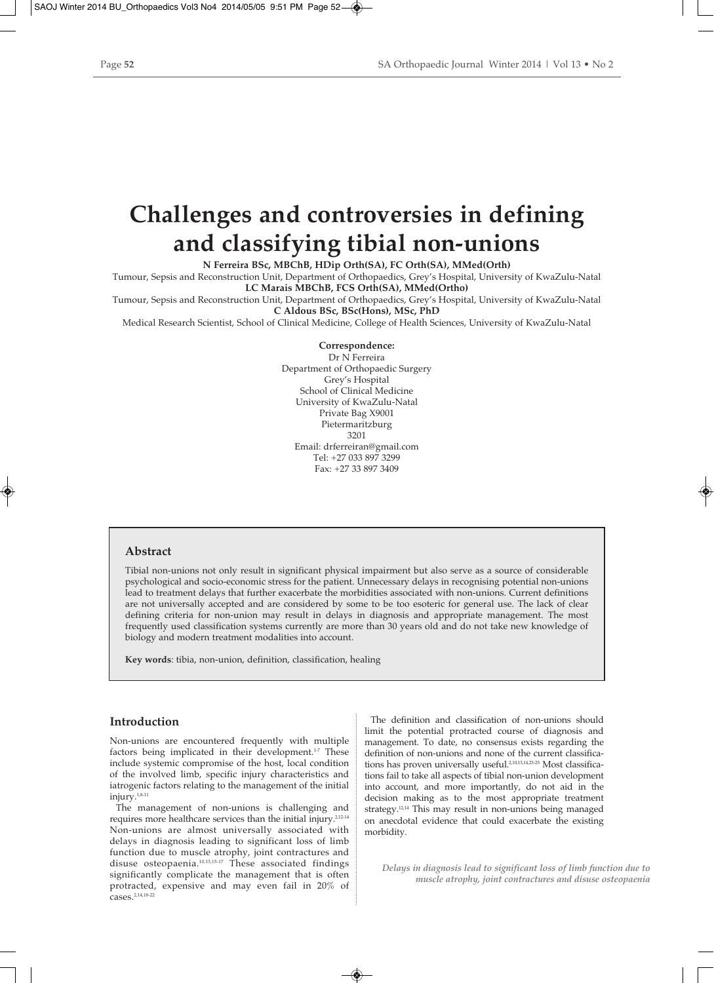# **Challenges and controversies in defining and classifying tibial non-unions**

**N Ferreira BSc, MBChB, HDip Orth(SA), FC Orth(SA), MMed(Orth)**

Tumour, Sepsis and Reconstruction Unit, Department of Orthopaedics, Grey's Hospital, University of KwaZulu-Natal **LC Marais MBChB, FCS Orth(SA), MMed(Ortho)**

Tumour, Sepsis and Reconstruction Unit, Department of Orthopaedics, Grey's Hospital, University of KwaZulu-Natal **C Aldous BSc, BSc(Hons), MSc, PhD**

Medical Research Scientist, School of Clinical Medicine, College of Health Sciences, University of KwaZulu-Natal

**Correspondence:**

Dr N Ferreira Department of Orthopaedic Surgery Grey's Hospital School of Clinical Medicine University of KwaZulu-Natal Private Bag X9001 Pietermaritzburg 3201 Email: drferreiran@gmail.com Tel: +27 033 897 3299 Fax: +27 33 897 3409

## **Abstract**

Tibial non-unions not only result in significant physical impairment but also serve as a source of considerable psychological and socio-economic stress for the patient. Unnecessary delays in recognising potential non-unions lead to treatment delays that further exacerbate the morbidities associated with non-unions. Current definitions are not universally accepted and are considered by some to be too esoteric for general use. The lack of clear defining criteria for non-union may result in delays in diagnosis and appropriate management. The most frequently used classification systems currently are more than 30 years old and do not take new knowledge of biology and modern treatment modalities into account.

**Key words**: tibia, non-union, definition, classification, healing

#### **Introduction**

Non-unions are encountered frequently with multiple factors being implicated in their development.<sup>1-7</sup> These include systemic compromise of the host, local condition of the involved limb, specific injury characteristics and iatrogenic factors relating to the management of the initial injury.1,8-11

The management of non-unions is challenging and requires more healthcare services than the initial injury.<sup>2,12-14</sup> Non-unions are almost universally associated with delays in diagnosis leading to significant loss of limb function due to muscle atrophy, joint contractures and disuse osteopaenia.<sup>10,13,15-17</sup> These associated findings significantly complicate the management that is often protracted, expensive and may even fail in 20% of cases.2,14,18-22

The definition and classification of non-unions should limit the potential protracted course of diagnosis and management. To date, no consensus exists regarding the definition of non-unions and none of the current classifications has proven universally useful.<sup>2,10,13,14,23-25</sup> Most classifications fail to take all aspects of tibial non-union development into account, and more importantly, do not aid in the decision making as to the most appropriate treatment strategy.12,14 This may result in non-unions being managed on anecdotal evidence that could exacerbate the existing morbidity.

*Delays in diagnosis lead to significant loss of limb function due to muscle atrophy, joint contractures and disuse osteopaenia*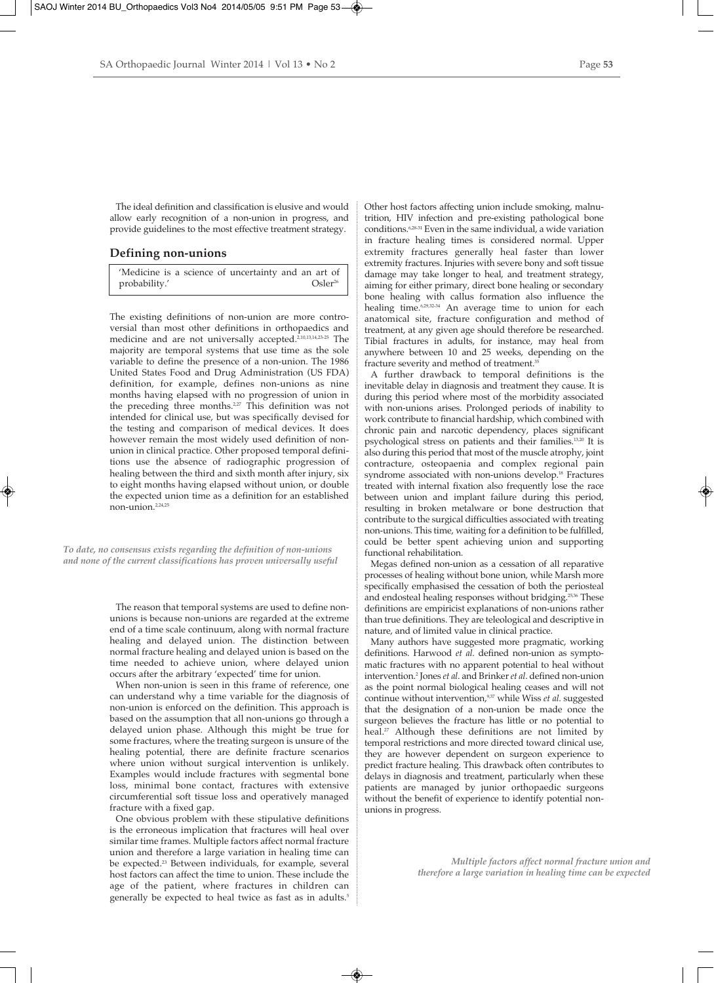The ideal definition and classification is elusive and would allow early recognition of a non-union in progress, and provide guidelines to the most effective treatment strategy.

#### **Defining non-unions**

'Medicine is a science of uncertainty and an art of probability.' Csler<sup>26</sup>

The existing definitions of non-union are more controversial than most other definitions in orthopaedics and medicine and are not universally accepted.2,10,13,14,23-25 The majority are temporal systems that use time as the sole variable to define the presence of a non-union. The 1986 United States Food and Drug Administration (US FDA) definition, for example, defines non-unions as nine months having elapsed with no progression of union in the preceding three months.<sup>2,27</sup> This definition was not intended for clinical use, but was specifically devised for the testing and comparison of medical devices. It does however remain the most widely used definition of nonunion in clinical practice. Other proposed temporal definitions use the absence of radiographic progression of healing between the third and sixth month after injury, six to eight months having elapsed without union, or double the expected union time as a definition for an established non-union.2,24,25

*To date, no consensus exists regarding the definition of non-unions and none of the current classifications has proven universally useful*

> The reason that temporal systems are used to define nonunions is because non-unions are regarded at the extreme end of a time scale continuum, along with normal fracture healing and delayed union. The distinction between normal fracture healing and delayed union is based on the time needed to achieve union, where delayed union occurs after the arbitrary 'expected' time for union.

> When non-union is seen in this frame of reference, one can understand why a time variable for the diagnosis of non-union is enforced on the definition. This approach is based on the assumption that all non-unions go through a delayed union phase. Although this might be true for some fractures, where the treating surgeon is unsure of the healing potential, there are definite fracture scenarios where union without surgical intervention is unlikely. Examples would include fractures with segmental bone loss, minimal bone contact, fractures with extensive circumferential soft tissue loss and operatively managed fracture with a fixed gap.

> One obvious problem with these stipulative definitions is the erroneous implication that fractures will heal over similar time frames. Multiple factors affect normal fracture union and therefore a large variation in healing time can be expected.<sup>23</sup> Between individuals, for example, several host factors can affect the time to union. These include the age of the patient, where fractures in children can generally be expected to heal twice as fast as in adults.<sup>5</sup>

Other host factors affecting union include smoking, malnutrition, HIV infection and pre-existing pathological bone conditions.<sup>6,28-31</sup> Even in the same individual, a wide variation in fracture healing times is considered normal. Upper extremity fractures generally heal faster than lower extremity fractures. Injuries with severe bony and soft tissue damage may take longer to heal, and treatment strategy, aiming for either primary, direct bone healing or secondary bone healing with callus formation also influence the healing time.<sup>6,29,32-34</sup> An average time to union for each anatomical site, fracture configuration and method of treatment, at any given age should therefore be researched. Tibial fractures in adults, for instance, may heal from anywhere between 10 and 25 weeks, depending on the fracture severity and method of treatment.<sup>35</sup>

A further drawback to temporal definitions is the inevitable delay in diagnosis and treatment they cause. It is during this period where most of the morbidity associated with non-unions arises. Prolonged periods of inability to work contribute to financial hardship, which combined with chronic pain and narcotic dependency, places significant psychological stress on patients and their families.<sup>13,20</sup> It is also during this period that most of the muscle atrophy, joint contracture, osteopaenia and complex regional pain syndrome associated with non-unions develop.<sup>18</sup> Fractures treated with internal fixation also frequently lose the race between union and implant failure during this period, resulting in broken metalware or bone destruction that contribute to the surgical difficulties associated with treating non-unions. This time, waiting for a definition to be fulfilled, could be better spent achieving union and supporting functional rehabilitation.

Megas defined non-union as a cessation of all reparative processes of healing without bone union, while Marsh more specifically emphasised the cessation of both the periosteal and endosteal healing responses without bridging.<sup>25,36</sup> These definitions are empiricist explanations of non-unions rather than true definitions. They are teleological and descriptive in nature, and of limited value in clinical practice.

Many authors have suggested more pragmatic, working definitions. Harwood *et al*. defined non-union as symptomatic fractures with no apparent potential to heal without intervention.2 Jones *et al*. and Brinker*et al*. defined non-union as the point normal biological healing ceases and will not continue without intervention,9,37 while Wiss *et al*. suggested that the designation of a non-union be made once the surgeon believes the fracture has little or no potential to heal.<sup>27</sup> Although these definitions are not limited by temporal restrictions and more directed toward clinical use, they are however dependent on surgeon experience to predict fracture healing. This drawback often contributes to delays in diagnosis and treatment, particularly when these patients are managed by junior orthopaedic surgeons without the benefit of experience to identify potential nonunions in progress.

> *Multiple factors affect normal fracture union and therefore a large variation in healing time can be expected*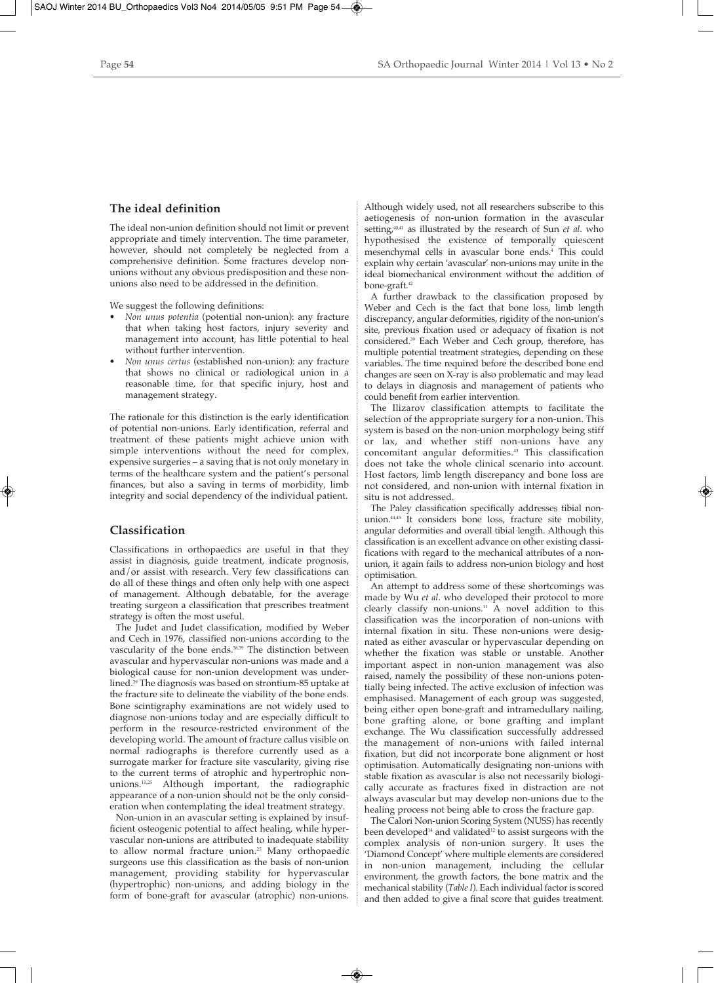## **The ideal definition**

The ideal non-union definition should not limit or prevent appropriate and timely intervention. The time parameter, however, should not completely be neglected from a comprehensive definition. Some fractures develop nonunions without any obvious predisposition and these nonunions also need to be addressed in the definition.

We suggest the following definitions:

- *Non unus potentia* (potential non-union): any fracture that when taking host factors, injury severity and management into account, has little potential to heal without further intervention.
- *Non unus certus* (established non-union): any fracture that shows no clinical or radiological union in a reasonable time, for that specific injury, host and management strategy.

The rationale for this distinction is the early identification of potential non-unions. Early identification, referral and treatment of these patients might achieve union with simple interventions without the need for complex, expensive surgeries – a saving that is not only monetary in terms of the healthcare system and the patient's personal finances, but also a saving in terms of morbidity, limb integrity and social dependency of the individual patient.

### **Classification**

Classifications in orthopaedics are useful in that they assist in diagnosis, guide treatment, indicate prognosis, and/or assist with research. Very few classifications can do all of these things and often only help with one aspect of management. Although debatable, for the average treating surgeon a classification that prescribes treatment strategy is often the most useful.

The Judet and Judet classification, modified by Weber and Cech in 1976, classified non-unions according to the vascularity of the bone ends.<sup>38,39</sup> The distinction between avascular and hypervascular non-unions was made and a biological cause for non-union development was underlined.39 The diagnosis was based on strontium-85 uptake at the fracture site to delineate the viability of the bone ends. Bone scintigraphy examinations are not widely used to diagnose non-unions today and are especially difficult to perform in the resource-restricted environment of the developing world. The amount of fracture callus visible on normal radiographs is therefore currently used as a surrogate marker for fracture site vascularity, giving rise to the current terms of atrophic and hypertrophic nonunions.11,25 Although important, the radiographic appearance of a non-union should not be the only consideration when contemplating the ideal treatment strategy.

Non-union in an avascular setting is explained by insufficient osteogenic potential to affect healing, while hypervascular non-unions are attributed to inadequate stability to allow normal fracture union.<sup>25</sup> Many orthopaedic surgeons use this classification as the basis of non-union management, providing stability for hypervascular (hypertrophic) non-unions, and adding biology in the form of bone-graft for avascular (atrophic) non-unions. Although widely used, not all researchers subscribe to this aetiogenesis of non-union formation in the avascular setting,<sup>40,41</sup> as illustrated by the research of Sun *et al.* who hypothesised the existence of temporally quiescent mesenchymal cells in avascular bone ends.4 This could explain why certain 'avascular' non-unions may unite in the ideal biomechanical environment without the addition of bone-graft.<sup>42</sup>

A further drawback to the classification proposed by Weber and Cech is the fact that bone loss, limb length discrepancy, angular deformities, rigidity of the non-union's site, previous fixation used or adequacy of fixation is not considered.39 Each Weber and Cech group, therefore, has multiple potential treatment strategies, depending on these variables. The time required before the described bone end changes are seen on X-ray is also problematic and may lead to delays in diagnosis and management of patients who could benefit from earlier intervention.

The Ilizarov classification attempts to facilitate the selection of the appropriate surgery for a non-union. This system is based on the non-union morphology being stiff or lax, and whether stiff non-unions have any concomitant angular deformities.43 This classification does not take the whole clinical scenario into account. Host factors, limb length discrepancy and bone loss are not considered, and non-union with internal fixation in situ is not addressed.

The Paley classification specifically addresses tibial nonunion.44,45 It considers bone loss, fracture site mobility, angular deformities and overall tibial length. Although this classification is an excellent advance on other existing classifications with regard to the mechanical attributes of a nonunion, it again fails to address non-union biology and host optimisation.

An attempt to address some of these shortcomings was made by Wu *et al*. who developed their protocol to more clearly classify non-unions.11 A novel addition to this classification was the incorporation of non-unions with internal fixation in situ. These non-unions were designated as either avascular or hypervascular depending on whether the fixation was stable or unstable. Another important aspect in non-union management was also raised, namely the possibility of these non-unions potentially being infected. The active exclusion of infection was emphasised. Management of each group was suggested, being either open bone-graft and intramedullary nailing, bone grafting alone, or bone grafting and implant exchange. The Wu classification successfully addressed the management of non-unions with failed internal fixation, but did not incorporate bone alignment or host optimisation. Automatically designating non-unions with stable fixation as avascular is also not necessarily biologically accurate as fractures fixed in distraction are not always avascular but may develop non-unions due to the healing process not being able to cross the fracture gap.

The Calori Non-union Scoring System (NUSS) has recently been developed<sup>14</sup> and validated<sup>12</sup> to assist surgeons with the complex analysis of non-union surgery. It uses the 'Diamond Concept' where multiple elements are considered in non-union management, including the cellular environment, the growth factors, the bone matrix and the mechanical stability (*Table I*). Each individual factor is scored and then added to give a final score that guides treatment.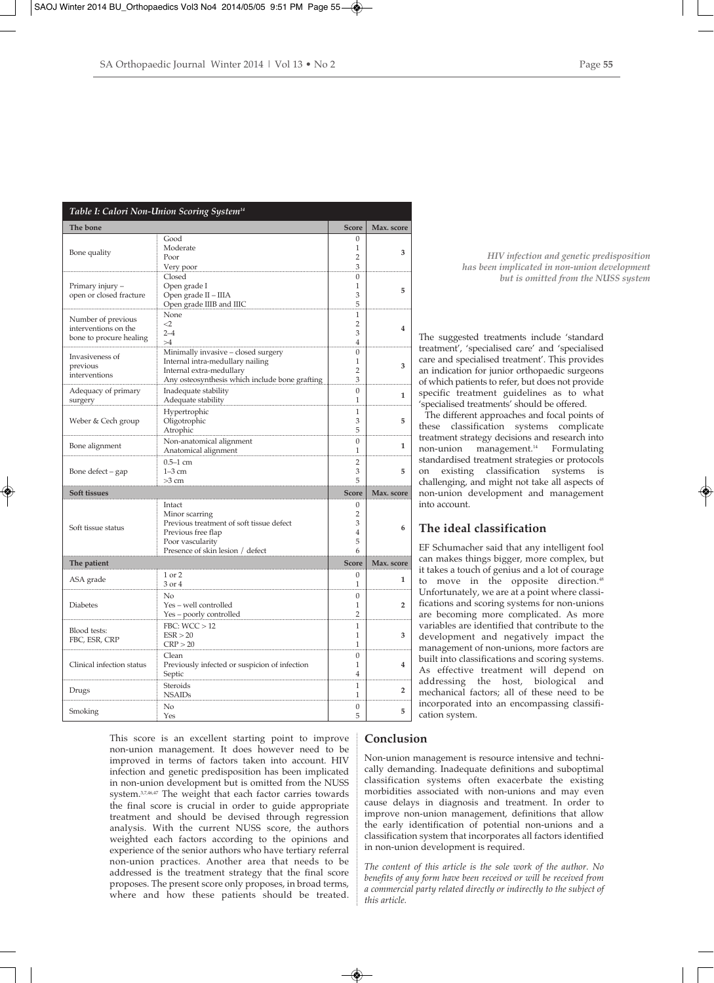|--|--|

|                                                                       | Table I: Calori Non-Union Scoring System <sup>14</sup>                                                                                                |                                                       |                         |
|-----------------------------------------------------------------------|-------------------------------------------------------------------------------------------------------------------------------------------------------|-------------------------------------------------------|-------------------------|
| The bone                                                              |                                                                                                                                                       | <b>Score</b>                                          | Max. score              |
| Bone quality                                                          | Good<br>Moderate<br>Poor<br>Very poor                                                                                                                 | $\mathbf{0}$<br>$\mathbf{1}$<br>$\overline{2}$<br>3   | 3                       |
| Primary injury -<br>open or closed fracture                           | Closed<br>Open grade I<br>Open grade II - IIIA<br>Open grade IIIB and IIIC                                                                            | $\mathbf{0}$<br>$\mathbf{1}$<br>3<br>5                | 5                       |
| Number of previous<br>interventions on the<br>bone to procure healing | None<br>$\leq$<br>$2 - 4$<br>>4                                                                                                                       | $\mathbf{1}$<br>$\overline{2}$<br>3<br>$\overline{4}$ | 4                       |
| Invasiveness of<br>previous<br>interventions                          | Minimally invasive - closed surgery<br>Internal intra-medullary nailing<br>Internal extra-medullary<br>Any osteosynthesis which include bone grafting | $\mathbf{0}$<br>1<br>2<br>3                           | 3                       |
| Adequacy of primary<br>surgery                                        | Inadequate stability<br>Adequate stability                                                                                                            | $\overline{0}$<br>1                                   | $\mathbf{1}$            |
| Weber & Cech group                                                    | Hypertrophic<br>Oligotrophic<br>Atrophic                                                                                                              | 1<br>3<br>5                                           | 5                       |
| Bone alignment                                                        | Non-anatomical alignment<br>Anatomical alignment                                                                                                      | $\mathbf{0}$<br>1                                     | $\mathbf{1}$            |
| Bone defect – gap                                                     | $0.5 - 1$ cm<br>$1-3$ cm<br>$>3$ cm                                                                                                                   | $\overline{2}$<br>3<br>5                              | 5                       |
| Soft tissues                                                          |                                                                                                                                                       | <b>Score</b>                                          | Max. score              |
| Soft tissue status                                                    | Intact<br>Minor scarring<br>Previous treatment of soft tissue defect<br>Previous free flap<br>Poor vascularity<br>Presence of skin lesion / defect    | $\mathbf{0}$<br>2<br>3<br>4<br>5<br>6                 | 6                       |
| The patient                                                           |                                                                                                                                                       | <b>Score</b>                                          | Max. score              |
| ASA grade                                                             | 1 or 2<br>3 or 4                                                                                                                                      | $\mathbf{0}$<br>$\mathbf{1}$                          | 1                       |
| <b>Diabetes</b>                                                       | No<br>Yes - well controlled<br>Yes - poorly controlled                                                                                                | $\mathbf{0}$<br>1<br>$\overline{2}$                   | $\overline{\mathbf{2}}$ |
| Blood tests:<br>FBC, ESR, CRP                                         | FBC: WCC > 12<br>ESR > 20<br>CRP > 20                                                                                                                 | 1<br>1<br>$\mathbf{1}$                                | 3                       |
| Clinical infection status                                             | Clean<br>Previously infected or suspicion of infection<br>Septic                                                                                      | $\mathbf{0}$<br>1<br>$\overline{4}$                   | 4                       |
| Drugs                                                                 | <b>Steroids</b><br><b>NSAIDs</b>                                                                                                                      | $\mathbf{1}$<br>1                                     | $\overline{2}$          |
| Smoking                                                               | N <sub>0</sub><br>Yes                                                                                                                                 | $\mathbf{0}$<br>5                                     | 5                       |

This score is an excellent starting point to improve non-union management. It does however need to be improved in terms of factors taken into account. HIV infection and genetic predisposition has been implicated in non-union development but is omitted from the NUSS system.3,7,46,47 The weight that each factor carries towards the final score is crucial in order to guide appropriate treatment and should be devised through regression analysis. With the current NUSS score, the authors weighted each factors according to the opinions and experience of the senior authors who have tertiary referral non-union practices. Another area that needs to be addressed is the treatment strategy that the final score proposes. The present score only proposes, in broad terms, where and how these patients should be treated.

*HIV infection and genetic predisposition has been implicated in non-union development but is omitted from the NUSS system*

The suggested treatments include 'standard treatment', 'specialised care' and 'specialised care and specialised treatment'. This provides an indication for junior orthopaedic surgeons of which patients to refer, but does not provide specific treatment guidelines as to what 'specialised treatments' should be offered.

The different approaches and focal points of these classification systems complicate treatment strategy decisions and research into non-union management.14 Formulating standardised treatment strategies or protocols on existing classification systems is challenging, and might not take all aspects of non-union development and management into account.

## **The ideal classification**

EF Schumacher said that any intelligent fool can makes things bigger, more complex, but it takes a touch of genius and a lot of courage to move in the opposite direction.<sup>48</sup> Unfortunately, we are at a point where classifications and scoring systems for non-unions are becoming more complicated. As more variables are identified that contribute to the development and negatively impact the management of non-unions, more factors are built into classifications and scoring systems. As effective treatment will depend on addressing the host, biological and mechanical factors; all of these need to be incorporated into an encompassing classification system.

# **Conclusion**

Non-union management is resource intensive and technically demanding. Inadequate definitions and suboptimal classification systems often exacerbate the existing morbidities associated with non-unions and may even cause delays in diagnosis and treatment. In order to improve non-union management, definitions that allow the early identification of potential non-unions and a classification system that incorporates all factors identified in non-union development is required.

*The content of this article is the sole work of the author. No benefits of any form have been received or will be received from a commercial party related directly or indirectly to the subject of this article.*